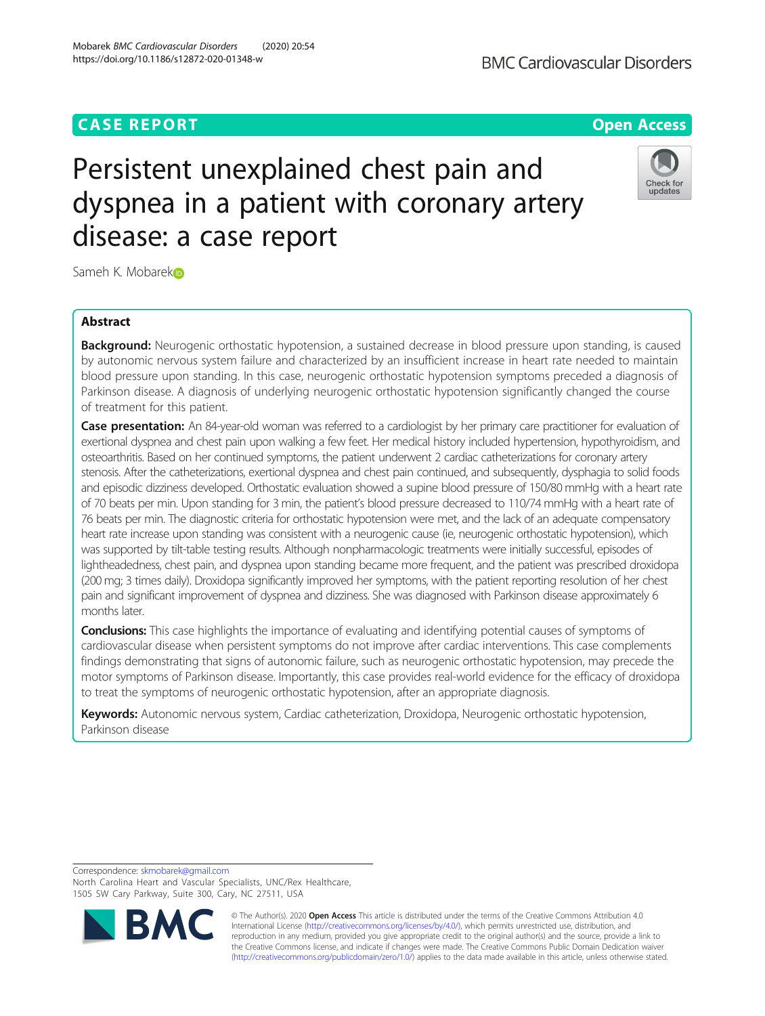# **CASE REPORT CASE ACCESS**

# Persistent unexplained chest pain and dyspnea in a patient with coronary artery disease: a case report



Sameh K. Mobarek**o** 

## Abstract

Background: Neurogenic orthostatic hypotension, a sustained decrease in blood pressure upon standing, is caused by autonomic nervous system failure and characterized by an insufficient increase in heart rate needed to maintain blood pressure upon standing. In this case, neurogenic orthostatic hypotension symptoms preceded a diagnosis of Parkinson disease. A diagnosis of underlying neurogenic orthostatic hypotension significantly changed the course of treatment for this patient.

Case presentation: An 84-year-old woman was referred to a cardiologist by her primary care practitioner for evaluation of exertional dyspnea and chest pain upon walking a few feet. Her medical history included hypertension, hypothyroidism, and osteoarthritis. Based on her continued symptoms, the patient underwent 2 cardiac catheterizations for coronary artery stenosis. After the catheterizations, exertional dyspnea and chest pain continued, and subsequently, dysphagia to solid foods and episodic dizziness developed. Orthostatic evaluation showed a supine blood pressure of 150/80 mmHg with a heart rate of 70 beats per min. Upon standing for 3 min, the patient's blood pressure decreased to 110/74 mmHg with a heart rate of 76 beats per min. The diagnostic criteria for orthostatic hypotension were met, and the lack of an adequate compensatory heart rate increase upon standing was consistent with a neurogenic cause (ie, neurogenic orthostatic hypotension), which was supported by tilt-table testing results. Although nonpharmacologic treatments were initially successful, episodes of lightheadedness, chest pain, and dyspnea upon standing became more frequent, and the patient was prescribed droxidopa (200 mg; 3 times daily). Droxidopa significantly improved her symptoms, with the patient reporting resolution of her chest pain and significant improvement of dyspnea and dizziness. She was diagnosed with Parkinson disease approximately 6 months later.

Conclusions: This case highlights the importance of evaluating and identifying potential causes of symptoms of cardiovascular disease when persistent symptoms do not improve after cardiac interventions. This case complements findings demonstrating that signs of autonomic failure, such as neurogenic orthostatic hypotension, may precede the motor symptoms of Parkinson disease. Importantly, this case provides real-world evidence for the efficacy of droxidopa to treat the symptoms of neurogenic orthostatic hypotension, after an appropriate diagnosis.

Keywords: Autonomic nervous system, Cardiac catheterization, Droxidopa, Neurogenic orthostatic hypotension, Parkinson disease

Correspondence: [skmobarek@gmail.com](mailto:skmobarek@gmail.com) North Carolina Heart and Vascular Specialists, UNC/Rex Healthcare, 1505 SW Cary Parkway, Suite 300, Cary, NC 27511, USA



© The Author(s). 2020 Open Access This article is distributed under the terms of the Creative Commons Attribution 4.0 International License [\(http://creativecommons.org/licenses/by/4.0/](http://creativecommons.org/licenses/by/4.0/)), which permits unrestricted use, distribution, and reproduction in any medium, provided you give appropriate credit to the original author(s) and the source, provide a link to the Creative Commons license, and indicate if changes were made. The Creative Commons Public Domain Dedication waiver [\(http://creativecommons.org/publicdomain/zero/1.0/](http://creativecommons.org/publicdomain/zero/1.0/)) applies to the data made available in this article, unless otherwise stated.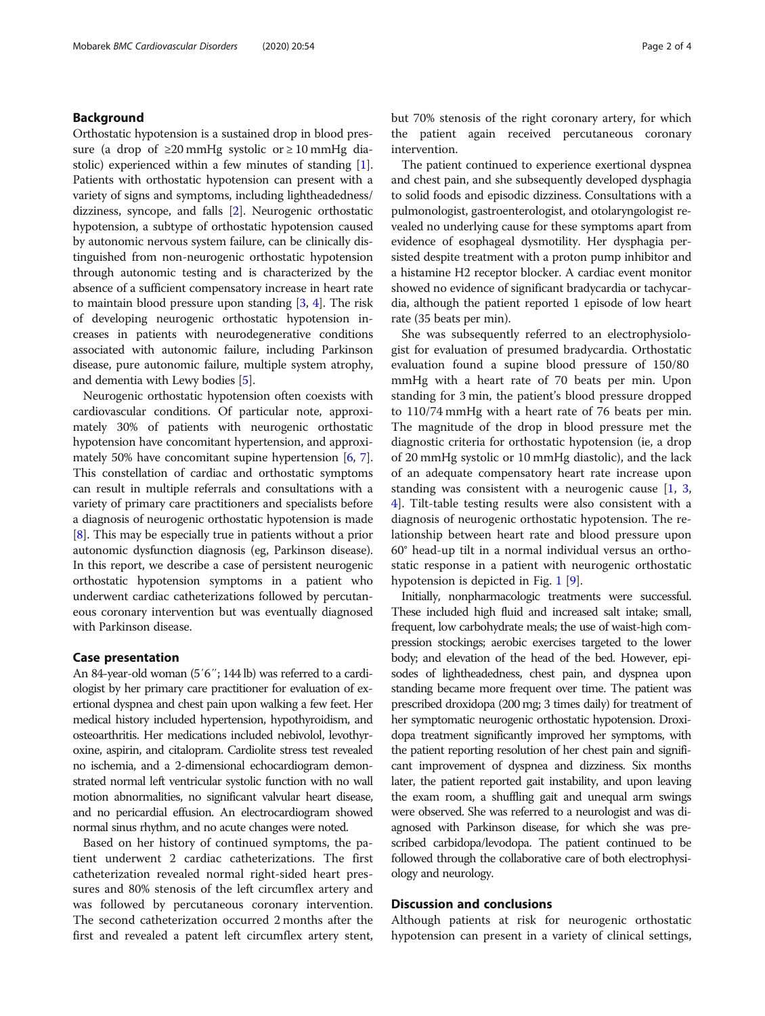### Background

Orthostatic hypotension is a sustained drop in blood pressure (a drop of  $\geq 20$  mmHg systolic or  $\geq 10$  mmHg diastolic) experienced within a few minutes of standing [[1](#page-3-0)]. Patients with orthostatic hypotension can present with a variety of signs and symptoms, including lightheadedness/ dizziness, syncope, and falls [\[2](#page-3-0)]. Neurogenic orthostatic hypotension, a subtype of orthostatic hypotension caused by autonomic nervous system failure, can be clinically distinguished from non-neurogenic orthostatic hypotension through autonomic testing and is characterized by the absence of a sufficient compensatory increase in heart rate to maintain blood pressure upon standing [\[3](#page-3-0), [4](#page-3-0)]. The risk of developing neurogenic orthostatic hypotension increases in patients with neurodegenerative conditions associated with autonomic failure, including Parkinson disease, pure autonomic failure, multiple system atrophy, and dementia with Lewy bodies [[5\]](#page-3-0).

Neurogenic orthostatic hypotension often coexists with cardiovascular conditions. Of particular note, approximately 30% of patients with neurogenic orthostatic hypotension have concomitant hypertension, and approximately 50% have concomitant supine hypertension [\[6,](#page-3-0) [7](#page-3-0)]. This constellation of cardiac and orthostatic symptoms can result in multiple referrals and consultations with a variety of primary care practitioners and specialists before a diagnosis of neurogenic orthostatic hypotension is made [[8\]](#page-3-0). This may be especially true in patients without a prior autonomic dysfunction diagnosis (eg, Parkinson disease). In this report, we describe a case of persistent neurogenic orthostatic hypotension symptoms in a patient who underwent cardiac catheterizations followed by percutaneous coronary intervention but was eventually diagnosed with Parkinson disease.

### Case presentation

An 84-year-old woman (5′6″; 144 lb) was referred to a cardiologist by her primary care practitioner for evaluation of exertional dyspnea and chest pain upon walking a few feet. Her medical history included hypertension, hypothyroidism, and osteoarthritis. Her medications included nebivolol, levothyroxine, aspirin, and citalopram. Cardiolite stress test revealed no ischemia, and a 2-dimensional echocardiogram demonstrated normal left ventricular systolic function with no wall motion abnormalities, no significant valvular heart disease, and no pericardial effusion. An electrocardiogram showed normal sinus rhythm, and no acute changes were noted.

Based on her history of continued symptoms, the patient underwent 2 cardiac catheterizations. The first catheterization revealed normal right-sided heart pressures and 80% stenosis of the left circumflex artery and was followed by percutaneous coronary intervention. The second catheterization occurred 2 months after the first and revealed a patent left circumflex artery stent, but 70% stenosis of the right coronary artery, for which the patient again received percutaneous coronary intervention.

The patient continued to experience exertional dyspnea and chest pain, and she subsequently developed dysphagia to solid foods and episodic dizziness. Consultations with a pulmonologist, gastroenterologist, and otolaryngologist revealed no underlying cause for these symptoms apart from evidence of esophageal dysmotility. Her dysphagia persisted despite treatment with a proton pump inhibitor and a histamine H2 receptor blocker. A cardiac event monitor showed no evidence of significant bradycardia or tachycardia, although the patient reported 1 episode of low heart rate (35 beats per min).

She was subsequently referred to an electrophysiologist for evaluation of presumed bradycardia. Orthostatic evaluation found a supine blood pressure of 150/80 mmHg with a heart rate of 70 beats per min. Upon standing for 3 min, the patient's blood pressure dropped to 110/74 mmHg with a heart rate of 76 beats per min. The magnitude of the drop in blood pressure met the diagnostic criteria for orthostatic hypotension (ie, a drop of 20 mmHg systolic or 10 mmHg diastolic), and the lack of an adequate compensatory heart rate increase upon standing was consistent with a neurogenic cause [[1,](#page-3-0) [3](#page-3-0), [4\]](#page-3-0). Tilt-table testing results were also consistent with a diagnosis of neurogenic orthostatic hypotension. The relationship between heart rate and blood pressure upon 60° head-up tilt in a normal individual versus an orthostatic response in a patient with neurogenic orthostatic hypotension is depicted in Fig. [1](#page-2-0) [[9\]](#page-3-0).

Initially, nonpharmacologic treatments were successful. These included high fluid and increased salt intake; small, frequent, low carbohydrate meals; the use of waist-high compression stockings; aerobic exercises targeted to the lower body; and elevation of the head of the bed. However, episodes of lightheadedness, chest pain, and dyspnea upon standing became more frequent over time. The patient was prescribed droxidopa (200 mg; 3 times daily) for treatment of her symptomatic neurogenic orthostatic hypotension. Droxidopa treatment significantly improved her symptoms, with the patient reporting resolution of her chest pain and significant improvement of dyspnea and dizziness. Six months later, the patient reported gait instability, and upon leaving the exam room, a shuffling gait and unequal arm swings were observed. She was referred to a neurologist and was diagnosed with Parkinson disease, for which she was prescribed carbidopa/levodopa. The patient continued to be followed through the collaborative care of both electrophysiology and neurology.

#### Discussion and conclusions

Although patients at risk for neurogenic orthostatic hypotension can present in a variety of clinical settings,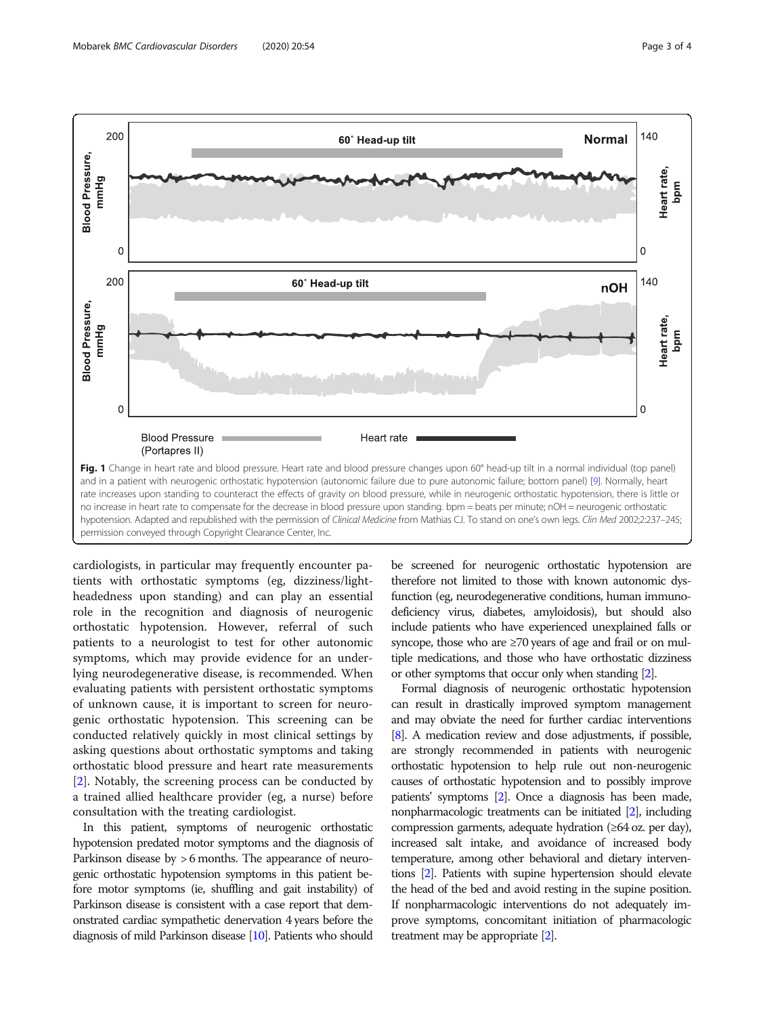<span id="page-2-0"></span>

cardiologists, in particular may frequently encounter patients with orthostatic symptoms (eg, dizziness/lightheadedness upon standing) and can play an essential role in the recognition and diagnosis of neurogenic orthostatic hypotension. However, referral of such patients to a neurologist to test for other autonomic symptoms, which may provide evidence for an underlying neurodegenerative disease, is recommended. When evaluating patients with persistent orthostatic symptoms of unknown cause, it is important to screen for neurogenic orthostatic hypotension. This screening can be conducted relatively quickly in most clinical settings by asking questions about orthostatic symptoms and taking orthostatic blood pressure and heart rate measurements [[2\]](#page-3-0). Notably, the screening process can be conducted by a trained allied healthcare provider (eg, a nurse) before consultation with the treating cardiologist.

In this patient, symptoms of neurogenic orthostatic hypotension predated motor symptoms and the diagnosis of Parkinson disease by > 6 months. The appearance of neurogenic orthostatic hypotension symptoms in this patient before motor symptoms (ie, shuffling and gait instability) of Parkinson disease is consistent with a case report that demonstrated cardiac sympathetic denervation 4 years before the diagnosis of mild Parkinson disease [[10\]](#page-3-0). Patients who should

be screened for neurogenic orthostatic hypotension are therefore not limited to those with known autonomic dysfunction (eg, neurodegenerative conditions, human immunodeficiency virus, diabetes, amyloidosis), but should also include patients who have experienced unexplained falls or syncope, those who are ≥70 years of age and frail or on multiple medications, and those who have orthostatic dizziness or other symptoms that occur only when standing [\[2\]](#page-3-0).

Formal diagnosis of neurogenic orthostatic hypotension can result in drastically improved symptom management and may obviate the need for further cardiac interventions [[8](#page-3-0)]. A medication review and dose adjustments, if possible, are strongly recommended in patients with neurogenic orthostatic hypotension to help rule out non-neurogenic causes of orthostatic hypotension and to possibly improve patients' symptoms [\[2](#page-3-0)]. Once a diagnosis has been made, nonpharmacologic treatments can be initiated [\[2\]](#page-3-0), including compression garments, adequate hydration (≥64 oz. per day), increased salt intake, and avoidance of increased body temperature, among other behavioral and dietary interventions [[2](#page-3-0)]. Patients with supine hypertension should elevate the head of the bed and avoid resting in the supine position. If nonpharmacologic interventions do not adequately improve symptoms, concomitant initiation of pharmacologic treatment may be appropriate [\[2\]](#page-3-0).